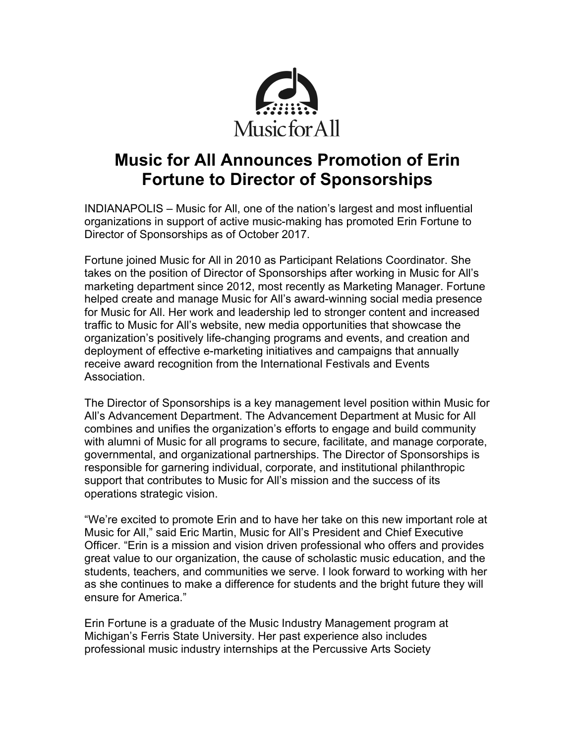

# **Music for All Announces Promotion of Erin Fortune to Director of Sponsorships**

INDIANAPOLIS – Music for All, one of the nation's largest and most influential organizations in support of active music-making has promoted Erin Fortune to Director of Sponsorships as of October 2017.

Fortune joined Music for All in 2010 as Participant Relations Coordinator. She takes on the position of Director of Sponsorships after working in Music for All's marketing department since 2012, most recently as Marketing Manager. Fortune helped create and manage Music for All's award-winning social media presence for Music for All. Her work and leadership led to stronger content and increased traffic to Music for All's website, new media opportunities that showcase the organization's positively life-changing programs and events, and creation and deployment of effective e-marketing initiatives and campaigns that annually receive award recognition from the International Festivals and Events Association.

The Director of Sponsorships is a key management level position within Music for All's Advancement Department. The Advancement Department at Music for All combines and unifies the organization's efforts to engage and build community with alumni of Music for all programs to secure, facilitate, and manage corporate, governmental, and organizational partnerships. The Director of Sponsorships is responsible for garnering individual, corporate, and institutional philanthropic support that contributes to Music for All's mission and the success of its operations strategic vision.

"We're excited to promote Erin and to have her take on this new important role at Music for All," said Eric Martin, Music for All's President and Chief Executive Officer. "Erin is a mission and vision driven professional who offers and provides great value to our organization, the cause of scholastic music education, and the students, teachers, and communities we serve. I look forward to working with her as she continues to make a difference for students and the bright future they will ensure for America."

Erin Fortune is a graduate of the Music Industry Management program at Michigan's Ferris State University. Her past experience also includes professional music industry internships at the Percussive Arts Society